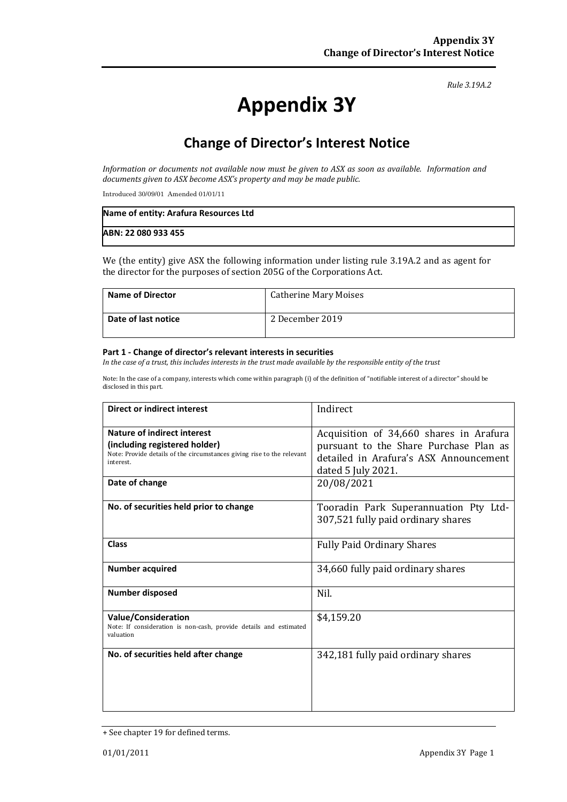*Rule 3.19A.2*

# **Appendix 3Y**

# **Change of Director's Interest Notice**

*Information or documents not available now must be given to ASX as soon as available. Information and documents given to ASX become ASX's property and may be made public.*

Introduced 30/09/01 Amended 01/01/11

| Name of entity: Arafura Resources Ltd |  |
|---------------------------------------|--|
| ABN: 22 080 933 455                   |  |

We (the entity) give ASX the following information under listing rule 3.19A.2 and as agent for the director for the purposes of section 205G of the Corporations Act.

| <b>Name of Director</b> | <b>Catherine Mary Moises</b> |
|-------------------------|------------------------------|
| Date of last notice     | 2 December 2019              |

#### **Part 1 - Change of director's relevant interests in securities**

*In the case of a trust, this includes interests in the trust made available by the responsible entity of the trust*

Note: In the case of a company, interests which come within paragraph (i) of the definition of "notifiable interest of a director" should be disclosed in this part.

| <b>Direct or indirect interest</b>                                                                                                                  | Indirect                                                                                                                                          |
|-----------------------------------------------------------------------------------------------------------------------------------------------------|---------------------------------------------------------------------------------------------------------------------------------------------------|
| Nature of indirect interest<br>(including registered holder)<br>Note: Provide details of the circumstances giving rise to the relevant<br>interest. | Acquisition of 34,660 shares in Arafura<br>pursuant to the Share Purchase Plan as<br>detailed in Arafura's ASX Announcement<br>dated 5 July 2021. |
| Date of change                                                                                                                                      | 20/08/2021                                                                                                                                        |
| No. of securities held prior to change                                                                                                              | Tooradin Park Superannuation Pty Ltd-<br>307,521 fully paid ordinary shares                                                                       |
| <b>Class</b>                                                                                                                                        | <b>Fully Paid Ordinary Shares</b>                                                                                                                 |
| <b>Number acquired</b>                                                                                                                              | 34,660 fully paid ordinary shares                                                                                                                 |
| <b>Number disposed</b>                                                                                                                              | Nil.                                                                                                                                              |
| <b>Value/Consideration</b><br>Note: If consideration is non-cash, provide details and estimated<br>valuation                                        | \$4,159.20                                                                                                                                        |
| No. of securities held after change                                                                                                                 | 342,181 fully paid ordinary shares                                                                                                                |

<sup>+</sup> See chapter 19 for defined terms.